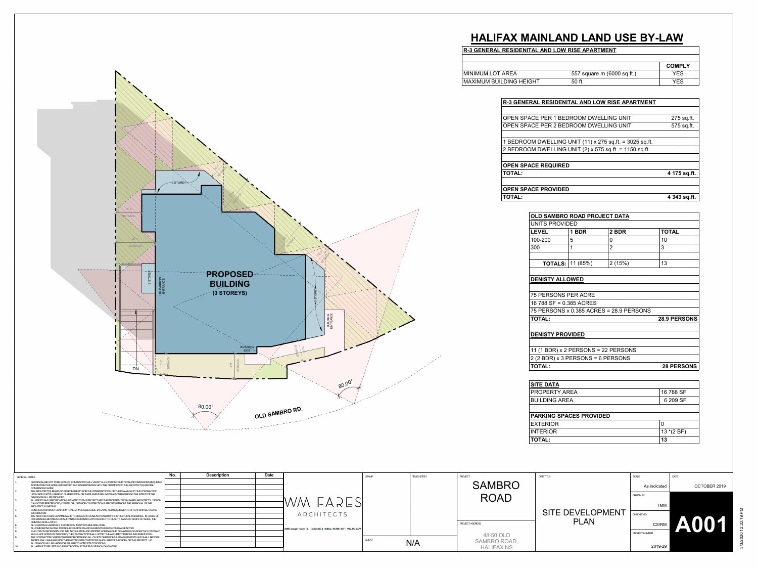|  |  | R-3 GENERAL RESIDENITAL AND LOW RISE APARTMENT |
|--|--|------------------------------------------------|
|  |  |                                                |

| 16 788 SF  |
|------------|
| 6 209 SF   |
|            |
|            |
| 0          |
| $13*(2BF)$ |
| 13         |
|            |

|                                |                            | <b>COMPLY</b> |
|--------------------------------|----------------------------|---------------|
| MINIMUM LOT AREA               | 557 square m (6000 sq.ft.) | YES           |
| <b>MAXIMUM BUILDING HEIGHT</b> | 50 ft.                     | YES           |

## **HALIFAX MAINLAND LAND USE BY-LAW**

| R-3 GENERAL RESIDENITAL AND LOW RISE APARTMENT          |              |
|---------------------------------------------------------|--------------|
|                                                         |              |
| OPEN SPACE PER 1 BEDROOM DWELLING UNIT                  | 275 sq.ft.   |
| OPEN SPACE PER 2 BEDROOM DWELLING UNIT                  | 575 sq.ft.   |
|                                                         |              |
| 1 BEDROOM DWELLING UNIT (11) x 275 sq.ft. = 3025 sq.ft. |              |
| 2 BEDROOM DWELLING UNIT (2) x 575 sq.ft. = 1150 sq.ft.  |              |
|                                                         |              |
| <b>OPEN SPACE REQUIRED</b>                              |              |
| <b>TOTAL:</b>                                           | 4 175 sq.ft. |
|                                                         |              |
| <b>OPEN SPACE PROVIDED</b>                              |              |
| <b>TOTAL:</b>                                           | 4 343 sq.ft. |

|                                     |                                     | OLD SAMBRO ROAD PROJECT DATA            |                     |  |  |  |  |  |  |  |  |
|-------------------------------------|-------------------------------------|-----------------------------------------|---------------------|--|--|--|--|--|--|--|--|
| UNITS PROVIDED                      |                                     |                                         |                     |  |  |  |  |  |  |  |  |
| <b>LEVEL</b>                        | 1 BDR                               | 2 BDR                                   | <b>TOTAL</b>        |  |  |  |  |  |  |  |  |
| 100-200                             | 5                                   | 0                                       | 10                  |  |  |  |  |  |  |  |  |
| 300                                 | 1                                   | $\overline{2}$                          | 3                   |  |  |  |  |  |  |  |  |
| <b>TOTALS:</b> $ 11 (85%)$          |                                     | 2(15%)                                  | 13                  |  |  |  |  |  |  |  |  |
| <b>DENISTY ALLOWED</b>              |                                     |                                         |                     |  |  |  |  |  |  |  |  |
| <b>75 PERSONS PER ACRE</b>          |                                     |                                         |                     |  |  |  |  |  |  |  |  |
| 16 788 SF = 0.385 ACRES             |                                     |                                         |                     |  |  |  |  |  |  |  |  |
|                                     |                                     | 75 PERSONS x 0.385 ACRES = 28.9 PERSONS |                     |  |  |  |  |  |  |  |  |
| <b>TOTAL:</b>                       |                                     |                                         | <b>28.9 PERSONS</b> |  |  |  |  |  |  |  |  |
| <b>DENISTY PROVIDED</b>             |                                     |                                         |                     |  |  |  |  |  |  |  |  |
| 11 (1 BDR) x 2 PERSONS = 22 PERSONS |                                     |                                         |                     |  |  |  |  |  |  |  |  |
|                                     | $2$ (2 BDR) x 3 PERSONS = 6 PERSONS |                                         |                     |  |  |  |  |  |  |  |  |
|                                     |                                     |                                         |                     |  |  |  |  |  |  |  |  |



| TRUE NORTH | PROJECT                           | DWG TITLE               | SCALE           | DATE                |             |
|------------|-----------------------------------|-------------------------|-----------------|---------------------|-------------|
|            | <b>SAMBRO</b>                     |                         | As indicated    | OCTOBER 2019        |             |
|            | <b>ROAD</b>                       |                         | <b>DRAWN BY</b> |                     |             |
|            |                                   |                         | TMM             |                     |             |
|            |                                   | <b>SITE DEVELOPMENT</b> | CHECKED BY      |                     |             |
|            | PROJECT ADDRESS                   | <b>PLAN</b>             | CS/RM           | YA\<br>$\mathbf{I}$ | 12:33:19 PM |
|            | 48-50 OLD                         |                         | PROJECT NUMBER  |                     |             |
| N/A        | SAMBRO ROAD,<br><b>HALIFAX NS</b> |                         | 2019-29         |                     | 3/3/2020    |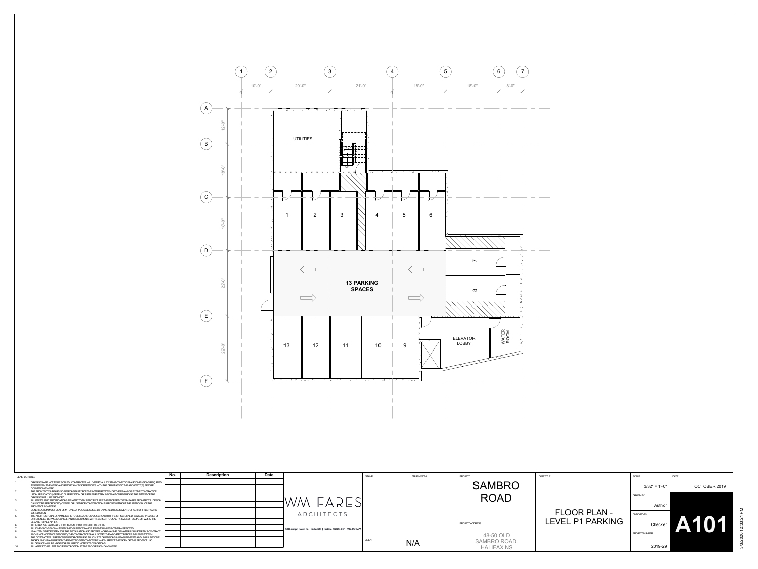

| <b>GENERAL NOTES</b>                                                                                                                                                                                     | No. | <b>Description</b> | Date |                                                                        | STAMP         | TRUE NORTH | PROJECT             | <b>DWG TITLE</b>    |                 | DATE         |
|----------------------------------------------------------------------------------------------------------------------------------------------------------------------------------------------------------|-----|--------------------|------|------------------------------------------------------------------------|---------------|------------|---------------------|---------------------|-----------------|--------------|
| DRAWINGS ARE NOT TO BE SCALED. CONTRACTOR WILL VERIFY ALL EXISTING CONDITIONS AND DIMENSIONS REQUIRED<br>TO PREFORM THE WORK AND REPORT ANY DISCREPANCIES WITH THE DRAWINGS TO THE ARCHITECT(S) BEFORE   |     |                    |      |                                                                        |               |            | <b>SAMBRO</b>       |                     |                 |              |
| COMMENCING WORK.                                                                                                                                                                                         |     |                    |      |                                                                        |               |            |                     |                     | $3/32" = 1'-0"$ | OCTOBER 2019 |
| THE ARCHITECT(S) BEARS NO RESPONSIBILITY FOR THE INTERPRETATION OF THE DRAWINGS BY THE CONTRACTOR.<br>UPON APPLICATION. GRAPHIC CLARIFICATION OR SUPPLEMENTARY INFORMATION REGARDING THE INTENT OF THE   |     |                    |      |                                                                        |               |            |                     |                     |                 |              |
| DRAWINGS WILL BE PROVIDED.                                                                                                                                                                               |     |                    |      |                                                                        |               |            | <b>ROAD</b>         |                     | DRAWN BY        |              |
| ALL PRINTS AND SPECIFICATIONS RELATED TO THIS PROJECT ARE THE PROPERTY OF WM FARES ARCHITECTS. DESIGN                                                                                                    |     |                    |      | WM FARESI                                                              |               |            |                     |                     |                 |              |
| CAN NOT BE REPORDUCED, COPIED, OR USED FOR CONSTRICTION PURPOSES WITHOUT THE APPROVAL OF THE<br>ARCHITECT IN WRITING.                                                                                    |     |                    |      |                                                                        |               |            |                     |                     | Author          |              |
| CONSTRUCTION MUST CONFORM TO ALL APPLICABLE CODE, BY-LAWS, AND REQUIEMENTS OF AUTHORITIES HAVING                                                                                                         |     |                    |      |                                                                        |               |            |                     | <b>FLOOR PLAN -</b> |                 |              |
| JURISDICTION.<br>THE ARCHITECTURAL DRAWINGS ARE TO BE READ IN CONTINCTION WITH THE STRUCTURAL DRAWINGS. IN CASES OF                                                                                      |     |                    |      | ARCHITECTS                                                             |               |            |                     |                     | CHECKED BY      |              |
| DIFFERENCES BETWEEN CONSULTANTS' DOCUMENTS WITH RESPECT TO QUALITY, SIZES OR SCOPE OF WORK, THE                                                                                                          |     |                    |      |                                                                        |               |            |                     |                     |                 |              |
| <b>GREATER SHALL APPLY.</b><br>ALL GUARDS & HANDRAILS TO CONFORM TO NATION BUILDING CODE.                                                                                                                |     |                    |      |                                                                        |               |            | PROJECT ADDRESS     | LEVEL P1 PARKING    | <b>Checke</b>   |              |
| ALL DIMENSIONS SHOWN TO FINISHED SURFACES AND FLEMENTS UNLESS OTHERWISE NOTED.                                                                                                                           |     |                    |      | 3480 Joseph Howe Dr.   Suite 500   Hallifax, NS B3L 4H7   902.457.6676 |               |            |                     |                     |                 |              |
| IF AN ITEM IS NECESSARY FOR THE INSTALLATION AND PROPER WORKMANSHIP OF MATERIALS LINDER THIS CONTRACT<br>AND IS NOT NOTED OR SPECIFIED. THE CONTRACTOR SHALL NOTIFY THE ARCHITECT BEFORE IMPLEMENTATION. |     |                    |      |                                                                        |               |            |                     |                     | PROJECT NUMBER  |              |
| THE CONTRACTOR IS RESPONSIBLE FOR OBTAINING ALL ON SITE DIMENSIONS & MEASUREMENTS AND SHALL BECOME                                                                                                       |     |                    |      |                                                                        |               |            | 48-50 OLD           |                     |                 |              |
| THOROUGHLY FAMILIAR WITH THE EXISTING SITE CONDITIONS WHICH AFFECT THE WORK OF THIS PROJECT. NO<br>ALLOWANCE WILL BE MADE FOR FAILURE TO NOTE SITE CONDITIONS.                                           |     |                    |      |                                                                        | <b>CLIENT</b> | N/A        | <b>SAMBRO ROAD,</b> |                     |                 |              |
| ALL AREAS TO BE LEFT IN CLEAN CONDITION AT THE END OF EACH DAYS WORK.                                                                                                                                    |     |                    |      |                                                                        |               |            | <b>HALIFAX NS</b>   |                     | 2019-29         |              |
|                                                                                                                                                                                                          |     |                    |      |                                                                        |               |            |                     |                     |                 |              |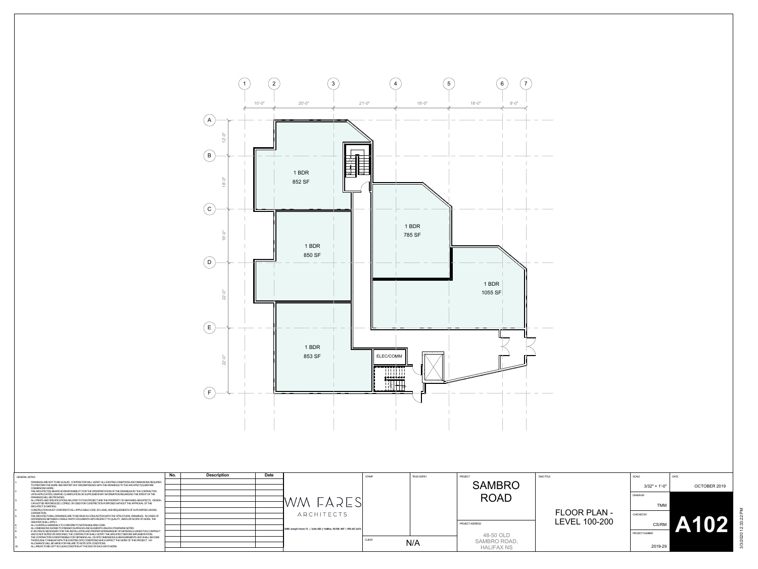

| TRUE NORTH | PROJECT<br><b>SAMBRO</b>                       | <b>DWG TITLE</b>                            | SCALE                                            | DATE                                           |             |
|------------|------------------------------------------------|---------------------------------------------|--------------------------------------------------|------------------------------------------------|-------------|
|            | <b>ROAD</b>                                    |                                             | $3/32" = 1'-0"$<br><b>DRAWN BY</b><br><b>TMM</b> | OCTOBER 2019                                   |             |
|            | PROJECT ADDRESS                                | <b>FLOOR PLAN -</b><br><b>LEVEL 100-200</b> | CHECKED BY<br>CS/RM                              | IP<br><b>IV</b><br>4<br>$\boldsymbol{\Lambda}$ | 12:33:22 PM |
| N/A        | 48-50 OLD<br>SAMBRO ROAD,<br><b>HALIFAX NS</b> |                                             | PROJECT NUMBER<br>2019-29                        |                                                | 3/3/2020    |

| <b>GENERAL NOTES</b> |                                                                                                                                                                                                        | No. | <b>Description</b><br>Date |                                                                        | <b>STAMP</b>  | <b>TRUE NORTH</b> |
|----------------------|--------------------------------------------------------------------------------------------------------------------------------------------------------------------------------------------------------|-----|----------------------------|------------------------------------------------------------------------|---------------|-------------------|
|                      | DRAWINGS ARE NOT TO BE SCALED. CONTRACTOR WILL VERIEY ALL EXISTING CONDITIONS AND DIMENSIONS REQUIRED                                                                                                  |     |                            |                                                                        |               |                   |
|                      | TO PREFORM THE WORK AND REPORT ANY DISCREPANCIES WITH THE DRAWINGS TO THE ARCHITECT(S) BEFORE<br>COMMENCING WORK.                                                                                      |     |                            |                                                                        |               |                   |
|                      | THE ARCHITECT(S) BEARS NO RESPONSIBILITY FOR THE INTERPRETATION OF THE DRAWINGS BY THE CONTRACTOR.<br>UPON APPLICATION, GRAPHIC CLARIFICATION OR SUPPLEMENTARY INFORMATION REGARDING THE INTENT OF THE |     |                            |                                                                        |               |                   |
|                      | DRAWINGS WILL BE PROVIDED.                                                                                                                                                                             |     |                            |                                                                        |               |                   |
|                      | ALL PRINTS AND SPECIFICATIONS RELATED TO THIS PROJECT ARE THE PROPERTY OF WM FARES ARCHITECTS. DESIGN<br>CAN NOT BE REPORDUCED. COPIED. OR USED FOR CONSTRICTION PURPOSES WITHOUT THE APPROVAL OF THE  |     |                            | $1$ WM FARE'                                                           |               |                   |
|                      | ARCHITECT IN WRITING.                                                                                                                                                                                  |     |                            |                                                                        |               |                   |
|                      | CONSTRUCTION MUST CONFORM TO ALL APPLICABLE CODE. BY-LAWS. AND REQUIEMENTS OF AUTHORITIES HAVING<br>JURISDICTION.                                                                                      |     |                            |                                                                        |               |                   |
|                      | THE ARCHITECTURAL DRAWINGS ARE TO BE READ IN CONJUNCTION WITH THE STRUCTURAL DRAWINGS. IN CASES OF                                                                                                     |     |                            | ARCHITECTS                                                             |               |                   |
|                      | DIFFERENCES BETWEEN CONSULTANTS' DOCUMENTS WITH RESPECT TO QUALITY, SIZES OR SCOPE OF WORK, THE<br><b>GREATER SHALL APPLY.</b>                                                                         |     |                            |                                                                        |               |                   |
|                      | ALL GUARDS & HANDRAILS TO CONFORM TO NATION BUILDING CODE.                                                                                                                                             |     |                            |                                                                        |               |                   |
|                      | ALL DIMENSIONS SHOWN TO FINISHED SURFACES AND ELEMENTS UNLESS OTHERWISE NOTED.<br>IF AN ITEM IS NECESSARY FOR THE INSTALLATION AND PROPER WORKMANSHIP OF MATERIALS UNDER THIS CONTRACT                 |     |                            | 3480 Joseph Howe Dr.   Suite 500   Hallifax, NS B3L 4H7   902,457.6676 |               |                   |
|                      | AND IS NOT NOTED OR SPECIFIED. THE CONTRACTOR SHALL NOTIFY THE ARCHITECT BEFORE IMPLEMENTATION.                                                                                                        |     |                            |                                                                        |               |                   |
|                      | THE CONTRACTOR IS RESPONSIBLE FOR OBTAINING ALL ON SITE DIMENSIONS & MEASUREMENTS AND SHALL BECOME<br>THOROUGHLY FAMILIAR WITH THE EXISTING SITE CONDITIONS WHICH AFFECT THE WORK OF THIS PROJECT. NO  |     |                            |                                                                        | <b>CLIENT</b> |                   |
|                      | ALLOWANCE WILL BE MADE FOR FAILURE TO NOTE SITE CONDITIONS.                                                                                                                                            |     |                            |                                                                        |               | N/A               |
|                      | ALL AREAS TO BE LEFT IN CLEAN CONDITION AT THE END OF EACH DAYS WORK.                                                                                                                                  |     |                            |                                                                        |               |                   |